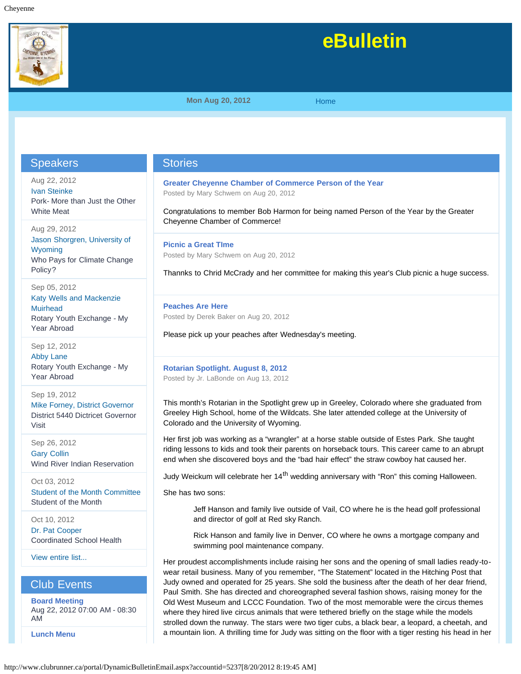

# **eBulletin**

**Mon Aug 20, 2012 [Home](http://www.clubrunner.ca/portal/Home.aspx?accountid=5237)** 

## **Speakers**

Aug 22, 2012 [Ivan Steinke](http://www.clubrunner.ca/portal/Speakers/SpeakersList.aspx?accountid=5237&eid=0&tid=4#373902) Pork- More than Just the Other White Meat

Aug 29, 2012 [Jason Shorgren, University of](http://www.clubrunner.ca/portal/Speakers/SpeakersList.aspx?accountid=5237&eid=0&tid=4#373903) [Wyoming](http://www.clubrunner.ca/portal/Speakers/SpeakersList.aspx?accountid=5237&eid=0&tid=4#373903) Who Pays for Climate Change Policy?

Sep 05, 2012 [Katy Wells and Mackenzie](http://www.clubrunner.ca/portal/Speakers/SpeakersList.aspx?accountid=5237&eid=0&tid=4#380035) **[Muirhead](http://www.clubrunner.ca/portal/Speakers/SpeakersList.aspx?accountid=5237&eid=0&tid=4#380035)** Rotary Youth Exchange - My Year Abroad

Sep 12, 2012 [Abby Lane](http://www.clubrunner.ca/portal/Speakers/SpeakersList.aspx?accountid=5237&eid=0&tid=4#380036) Rotary Youth Exchange - My Year Abroad

Sep 19, 2012 [Mike Forney, District Governor](http://www.clubrunner.ca/portal/Speakers/SpeakersList.aspx?accountid=5237&eid=0&tid=4#380038) District 5440 Dictricet Governor Visit

Sep 26, 2012 [Gary Collin](http://www.clubrunner.ca/portal/Speakers/SpeakersList.aspx?accountid=5237&eid=0&tid=4#380040) Wind River Indian Reservation

Oct 03, 2012 [Student of the Month Committee](http://www.clubrunner.ca/portal/Speakers/SpeakersList.aspx?accountid=5237&eid=0&tid=4#385667) Student of the Month

Oct 10, 2012 [Dr. Pat Cooper](http://www.clubrunner.ca/portal/Speakers/SpeakersList.aspx?accountid=5237&eid=0&tid=4#385668) Coordinated School Health

[View entire list...](http://www.clubrunner.ca/portal/Speakers/SpeakersList.aspx?accountid=5237&eid=0&tid=4)

Club Events

**[Board Meeting](http://www.clubrunner.ca/portal/Events/EVPEventDetails.aspx?accountid=5237&eid=dc997d88-f76d-43f3-bd8d-0e98e32ab5f8&tid=1)** Aug 22, 2012 07:00 AM - 08:30 AM

**[Lunch Menu](http://www.clubrunner.ca/portal/Events/EVPEventDetails.aspx?accountid=5237&eid=61ebeaf1-8d87-4e36-bc54-2860f1b829d5&tid=1)**

## **Stories**

**[Greater Cheyenne Chamber of Commerce Person of the Year](http://www.clubrunner.ca/portal/story/StoryDetail.aspx?accountid=5237&sid=284345&stid=)** Posted by Mary Schwem on Aug 20, 2012

Congratulations to member Bob Harmon for being named Person of the Year by the Greater Cheyenne Chamber of Commerce!

**[Picnic a Great TIme](http://www.clubrunner.ca/portal/story/StoryDetail.aspx?accountid=5237&sid=284342&stid=)** Posted by Mary Schwem on Aug 20, 2012

Thannks to Chrid McCrady and her committee for making this year's Club picnic a huge success.

**[Peaches Are Here](http://www.clubrunner.ca/portal/story/StoryDetail.aspx?accountid=5237&sid=284341&stid=)** Posted by Derek Baker on Aug 20, 2012

Please pick up your peaches after Wednesday's meeting.

#### **[Rotarian Spotlight. August 8, 2012](http://www.clubrunner.ca/portal/story/StoryDetail.aspx?accountid=5237&sid=282678&stid=)** Posted by Jr. LaBonde on Aug 13, 2012

This month's Rotarian in the Spotlight grew up in Greeley, Colorado where she graduated from Greeley High School, home of the Wildcats. She later attended college at the University of Colorado and the University of Wyoming.

Her first job was working as a "wrangler" at a horse stable outside of Estes Park. She taught riding lessons to kids and took their parents on horseback tours. This career came to an abrupt end when she discovered boys and the "bad hair effect" the straw cowboy hat caused her.

Judy Weickum will celebrate her 14<sup>th</sup> wedding anniversary with "Ron" this coming Halloween.

She has two sons:

Jeff Hanson and family live outside of Vail, CO where he is the head golf professional and director of golf at Red sky Ranch.

Rick Hanson and family live in Denver, CO where he owns a mortgage company and swimming pool maintenance company.

Her proudest accomplishments include raising her sons and the opening of small ladies ready-towear retail business. Many of you remember, "The Statement" located in the Hitching Post that Judy owned and operated for 25 years. She sold the business after the death of her dear friend, Paul Smith. She has directed and choreographed several fashion shows, raising money for the Old West Museum and LCCC Foundation. Two of the most memorable were the circus themes where they hired live circus animals that were tethered briefly on the stage while the models strolled down the runway. The stars were two tiger cubs, a black bear, a leopard, a cheetah, and a mountain lion. A thrilling time for Judy was sitting on the floor with a tiger resting his head in her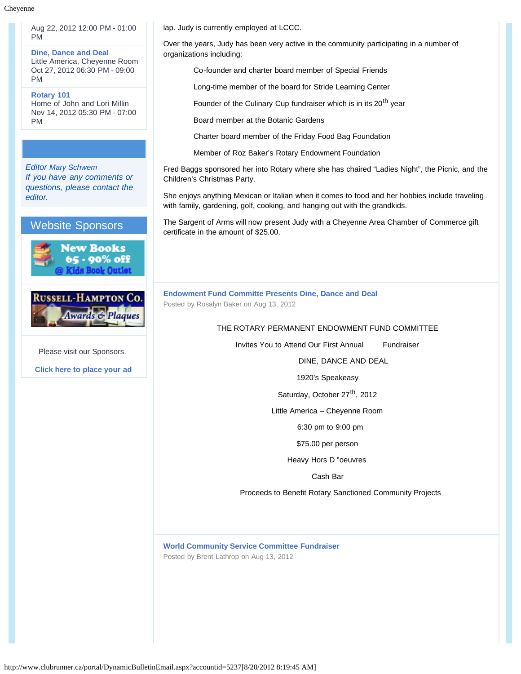Aug 22, 2012 12:00 PM - 01:00 PM

**[Dine, Dance and Deal](http://www.clubrunner.ca/portal/Events/EVPEventDetails.aspx?accountid=5237&eid=9e7e0b86-51cd-4283-8a06-a85bfc19db54&tid=1)** Little America, Cheyenne Room Oct 27, 2012 06:30 PM - 09:00 PM

**[Rotary 101](http://www.clubrunner.ca/portal/Events/EVPEventDetails.aspx?accountid=5237&eid=74d9ba33-32d6-4fff-b9dc-1b908a8fc263&tid=1)** Home of John and Lori Millin Nov 14, 2012 05:30 PM - 07:00 PM

### *Editor [Mary Schwem](http://www.clubrunner.ca/portal/Email/GeneralEmail.aspx?mid=Ax6VaO8mPsjyhnHN1aavqw%3d%3d&accountid=5237) If you have any comments or questions, please contact the editor.*







Please visit our Sponsors.

**[Click here to place your ad](http://web.clubrunner.ca/Advertisers)**

lap. Judy is currently employed at LCCC.

Over the years, Judy has been very active in the community participating in a number of organizations including:

Co-founder and charter board member of Special Friends

Long-time member of the board for Stride Learning Center

Founder of the Culinary Cup fundraiser which is in its 20<sup>th</sup> year

Board member at the Botanic Gardens

Charter board member of the Friday Food Bag Foundation

Member of Roz Baker's Rotary Endowment Foundation

Fred Baggs sponsored her into Rotary where she has chaired "Ladies Night", the Picnic, and the Children's Christmas Party.

She enjoys anything Mexican or Italian when it comes to food and her hobbies include traveling with family, gardening, golf, cooking, and hanging out with the grandkids.

The Sargent of Arms will now present Judy with a Cheyenne Area Chamber of Commerce gift certificate in the amount of \$25.00.

**[Endowment Fund Committe Presents Dine, Dance and Deal](http://www.clubrunner.ca/portal/story/StoryDetail.aspx?accountid=5237&sid=282677&stid=)** Posted by Rosalyn Baker on Aug 13, 2012

#### THE ROTARY PERMANENT ENDOWMENT FUND COMMITTEE

Invites You to Attend Our First Annual Fundraiser

DINE, DANCE AND DEAL

1920's Speakeasy

Saturday, October 27<sup>th</sup>, 2012

Little America – Cheyenne Room

6:30 pm to 9:00 pm

\$75.00 per person

Heavy Hors D "oeuvres

Cash Bar

Proceeds to Benefit Rotary Sanctioned Community Projects

**[World Community Service Committee Fundraiser](http://www.clubrunner.ca/portal/story/StoryDetail.aspx?accountid=5237&sid=282673&stid=)** Posted by Brent Lathrop on Aug 13, 2012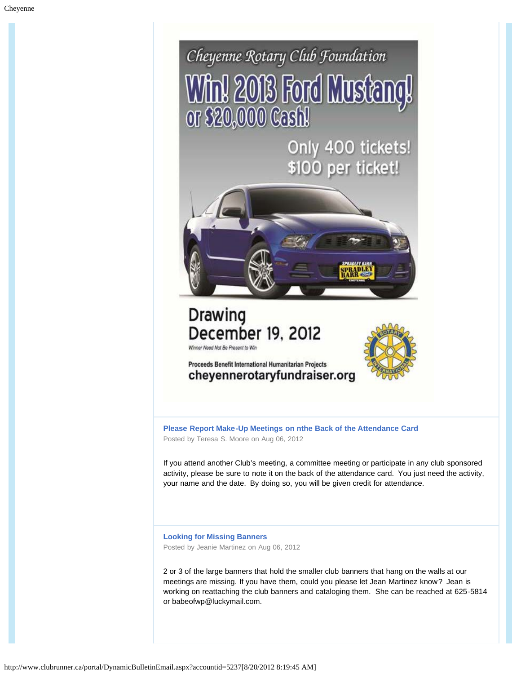

**[Please Report Make-Up Meetings on nthe Back of the Attendance Card](http://www.clubrunner.ca/portal/story/StoryDetail.aspx?accountid=5237&sid=280949&stid=)** Posted by Teresa S. Moore on Aug 06, 2012

If you attend another Club's meeting, a committee meeting or participate in any club sponsored activity, please be sure to note it on the back of the attendance card. You just need the activity, your name and the date. By doing so, you will be given credit for attendance.

**[Looking for Missing Banners](http://www.clubrunner.ca/portal/story/StoryDetail.aspx?accountid=5237&sid=280947&stid=)** Posted by Jeanie Martinez on Aug 06, 2012

2 or 3 of the large banners that hold the smaller club banners that hang on the walls at our meetings are missing. If you have them, could you please let Jean Martinez know? Jean is working on reattaching the club banners and cataloging them. She can be reached at 625-5814 or babeofwp@luckymail.com.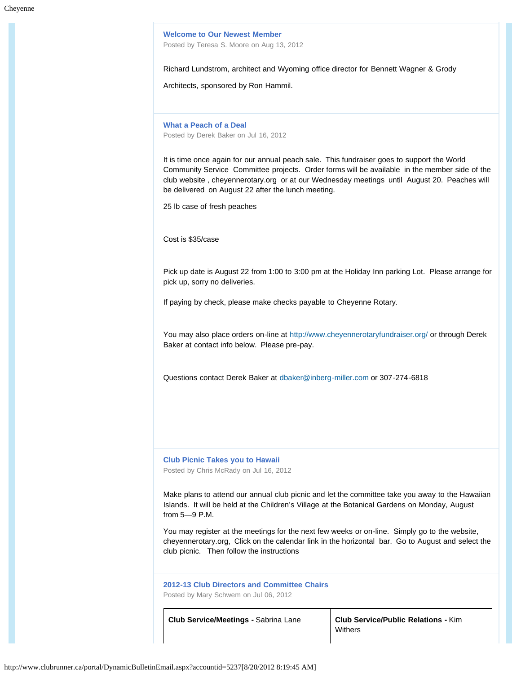**[Welcome to Our Newest Member](http://www.clubrunner.ca/portal/story/StoryDetail.aspx?accountid=5237&sid=280944&stid=)**

Posted by Teresa S. Moore on Aug 13, 2012

Richard Lundstrom, architect and Wyoming office director for Bennett Wagner & Grody

Architects, sponsored by Ron Hammil.

**[What a Peach of a Deal](http://www.clubrunner.ca/portal/story/StoryDetail.aspx?accountid=5237&sid=275381&stid=)** Posted by Derek Baker on Jul 16, 2012

It is time once again for our annual peach sale. This fundraiser goes to support the World Community Service Committee projects. Order forms will be available in the member side of the club website , cheyennerotary.org or at our Wednesday meetings until August 20. Peaches will be delivered on August 22 after the lunch meeting.

25 lb case of fresh peaches

Cost is \$35/case

Pick up date is August 22 from 1:00 to 3:00 pm at the Holiday Inn parking Lot. Please arrange for pick up, sorry no deliveries.

If paying by check, please make checks payable to Cheyenne Rotary.

You may also place orders on-line at <http://www.cheyennerotaryfundraiser.org/>or through Derek Baker at contact info below. Please pre-pay.

Questions contact Derek Baker at [dbaker@inberg-miller.com](mailto:dbaker@inberg-miller.com) or 307-274-6818

**[Club Picnic Takes you to Hawaii](http://www.clubrunner.ca/portal/story/StoryDetail.aspx?accountid=5237&sid=275380&stid=)** Posted by Chris McRady on Jul 16, 2012

Make plans to attend our annual club picnic and let the committee take you away to the Hawaiian Islands. It will be held at the Children's Village at the Botanical Gardens on Monday, August from 5—9 P.M.

You may register at the meetings for the next few weeks or on-line. Simply go to the website, cheyennerotary.org, Click on the calendar link in the horizontal bar. Go to August and select the club picnic. Then follow the instructions

**[2012-13 Club Directors and Committee Chairs](http://www.clubrunner.ca/portal/story/StoryDetail.aspx?accountid=5237&sid=273332&stid=)** Posted by Mary Schwem on Jul 06, 2012

**Club Service/Meetings -** Sabrina Lane **Club Service/Public Relations -** Kim **Withers**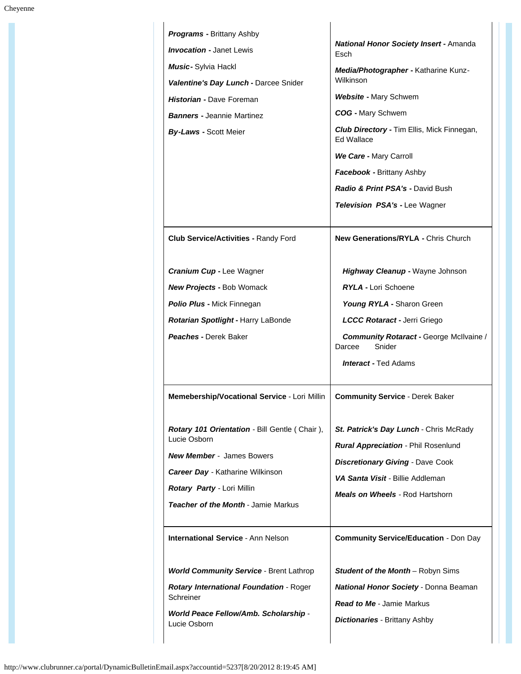| <b>Programs - Brittany Ashby</b><br><b>Invocation - Janet Lewis</b><br>Music- Sylvia Hackl<br>Valentine's Day Lunch - Darcee Snider<br>Historian - Dave Foreman<br><b>Banners - Jeannie Martinez</b><br><b>By-Laws - Scott Meier</b> | <b>National Honor Society Insert - Amanda</b><br>Esch<br>Media/Photographer - Katharine Kunz-<br>Wilkinson<br><b>Website - Mary Schwem</b><br><b>COG</b> - Mary Schwem<br>Club Directory - Tim Ellis, Mick Finnegan,<br><b>Ed Wallace</b><br>We Care - Mary Carroll<br>Facebook - Brittany Ashby<br>Radio & Print PSA's - David Bush<br><b>Television PSA's - Lee Wagner</b> |
|--------------------------------------------------------------------------------------------------------------------------------------------------------------------------------------------------------------------------------------|------------------------------------------------------------------------------------------------------------------------------------------------------------------------------------------------------------------------------------------------------------------------------------------------------------------------------------------------------------------------------|
| <b>Club Service/Activities - Randy Ford</b>                                                                                                                                                                                          | <b>New Generations/RYLA - Chris Church</b>                                                                                                                                                                                                                                                                                                                                   |
| Cranium Cup - Lee Wagner<br><b>New Projects - Bob Womack</b><br>Polio Plus - Mick Finnegan<br>Rotarian Spotlight - Harry LaBonde<br><b>Peaches - Derek Baker</b>                                                                     | <b>Highway Cleanup - Wayne Johnson</b><br><b>RYLA - Lori Schoene</b><br>Young RYLA - Sharon Green<br>LCCC Rotaract - Jerri Griego<br><b>Community Rotaract - George McIlvaine /</b><br>Snider<br>Darcee<br><b>Interact - Ted Adams</b>                                                                                                                                       |
| Memebership/Vocational Service - Lori Millin                                                                                                                                                                                         | <b>Community Service - Derek Baker</b>                                                                                                                                                                                                                                                                                                                                       |
| <b>Rotary 101 Orientation - Bill Gentle (Chair),</b><br>Lucie Osborn<br><b>New Member</b> - James Bowers<br><b>Career Day - Katharine Wilkinson</b><br>Rotary Party - Lori Millin<br><b>Teacher of the Month - Jamie Markus</b>      | St. Patrick's Day Lunch - Chris McRady<br><b>Rural Appreciation - Phil Rosenlund</b><br><b>Discretionary Giving - Dave Cook</b><br>VA Santa Visit - Billie Addleman<br><b>Meals on Wheels - Rod Hartshorn</b>                                                                                                                                                                |
| <b>International Service - Ann Nelson</b>                                                                                                                                                                                            | <b>Community Service/Education - Don Day</b>                                                                                                                                                                                                                                                                                                                                 |
| <b>World Community Service - Brent Lathrop</b><br><b>Rotary International Foundation - Roger</b><br>Schreiner<br><b>World Peace Fellow/Amb. Scholarship -</b><br>Lucie Osborn                                                        | <b>Student of the Month-Robyn Sims</b><br><b>National Honor Society - Donna Beaman</b><br><b>Read to Me - Jamie Markus</b><br><b>Dictionaries - Brittany Ashby</b>                                                                                                                                                                                                           |

 $\ddot{\phantom{a}}$